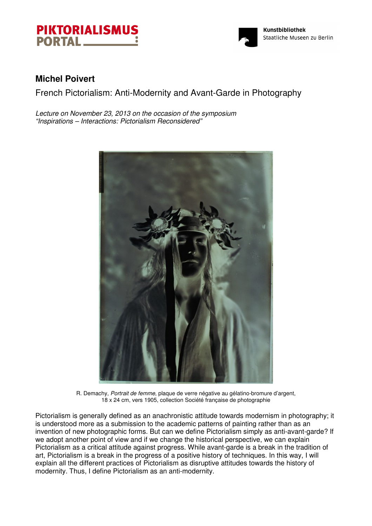



# **Michel Poivert**

French Pictorialism: Anti-Modernity and Avant-Garde in Photography

Lecture on November 23, 2013 on the occasion of the symposium "Inspirations – Interactions: Pictorialism Reconsidered"



R. Demachy, Portrait de femme, plaque de verre négative au gélatino-bromure d'argent, 18 x 24 cm, vers 1905, collection Société française de photographie

Pictorialism is generally defined as an anachronistic attitude towards modernism in photography; it is understood more as a submission to the academic patterns of painting rather than as an invention of new photographic forms. But can we define Pictorialism simply as anti-avant-garde? If we adopt another point of view and if we change the historical perspective, we can explain Pictorialism as a critical attitude against progress. While avant-garde is a break in the tradition of art, Pictorialism is a break in the progress of a positive history of techniques. In this way, I will explain all the different practices of Pictorialism as disruptive attitudes towards the history of modernity. Thus, I define Pictorialism as an anti-modernity.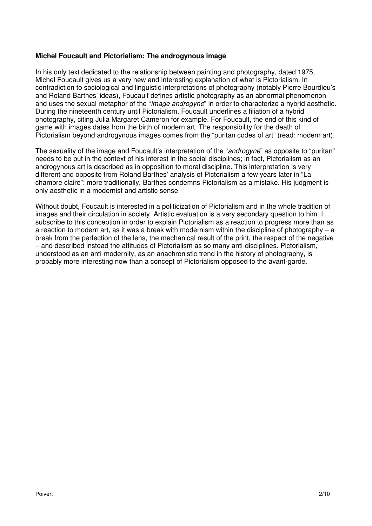### **Michel Foucault and Pictorialism: The androgynous image**

In his only text dedicated to the relationship between painting and photography, dated 1975, Michel Foucault gives us a very new and interesting explanation of what is Pictorialism. In contradiction to sociological and linguistic interpretations of photography (notably Pierre Bourdieu's and Roland Barthes' ideas), Foucault defines artistic photography as an abnormal phenomenon and uses the sexual metaphor of the "*image androgyne*" in order to characterize a hybrid aesthetic. During the nineteenth century until Pictorialism, Foucault underlines a filiation of a hybrid photography, citing Julia Margaret Cameron for example. For Foucault, the end of this kind of game with images dates from the birth of modern art. The responsibility for the death of Pictorialism beyond androgynous images comes from the "puritan codes of art" (read: modern art).

The sexuality of the image and Foucault's interpretation of the "*androgyne*" as opposite to "puritan" needs to be put in the context of his interest in the social disciplines; in fact, Pictorialism as an androgynous art is described as in opposition to moral discipline. This interpretation is very different and opposite from Roland Barthes' analysis of Pictorialism a few years later in "La chambre claire": more traditionally, Barthes condemns Pictorialism as a mistake. His judgment is only aesthetic in a modernist and artistic sense.

Without doubt, Foucault is interested in a politicization of Pictorialism and in the whole tradition of images and their circulation in society. Artistic evaluation is a very secondary question to him. I subscribe to this conception in order to explain Pictorialism as a reaction to progress more than as a reaction to modern art, as it was a break with modernism within the discipline of photography – a break from the perfection of the lens, the mechanical result of the print, the respect of the negative – and described instead the attitudes of Pictorialism as so many anti-disciplines. Pictorialism, understood as an anti-modernity, as an anachronistic trend in the history of photography, is probably more interesting now than a concept of Pictorialism opposed to the avant-garde.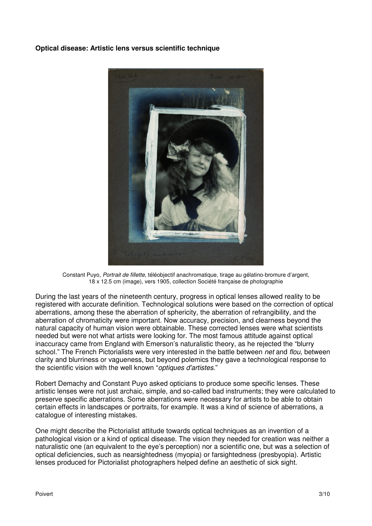#### **Optical disease: Artistic lens versus scientific technique**



Constant Puyo, Portrait de fillette, téléobjectif anachromatique, tirage au gélatino-bromure d'argent, 18 x 12.5 cm (image), vers 1905, collection Société française de photographie

During the last years of the nineteenth century, progress in optical lenses allowed reality to be registered with accurate definition. Technological solutions were based on the correction of optical aberrations, among these the aberration of sphericity, the aberration of refrangibility, and the aberration of chromaticity were important. Now accuracy, precision, and clearness beyond the natural capacity of human vision were obtainable. These corrected lenses were what scientists needed but were not what artists were looking for. The most famous attitude against optical inaccuracy came from England with Emerson's naturalistic theory, as he rejected the "blurry school." The French Pictorialists were very interested in the battle between net and flou, between clarity and blurriness or vagueness, but beyond polemics they gave a technological response to the scientific vision with the well known "optiques d'artistes."

Robert Demachy and Constant Puyo asked opticians to produce some specific lenses. These artistic lenses were not just archaic, simple, and so-called bad instruments; they were calculated to preserve specific aberrations. Some aberrations were necessary for artists to be able to obtain certain effects in landscapes or portraits, for example. It was a kind of science of aberrations, a catalogue of interesting mistakes.

One might describe the Pictorialist attitude towards optical techniques as an invention of a pathological vision or a kind of optical disease. The vision they needed for creation was neither a naturalistic one (an equivalent to the eye's perception) nor a scientific one, but was a selection of optical deficiencies, such as nearsightedness (myopia) or farsightedness (presbyopia). Artistic lenses produced for Pictorialist photographers helped define an aesthetic of sick sight.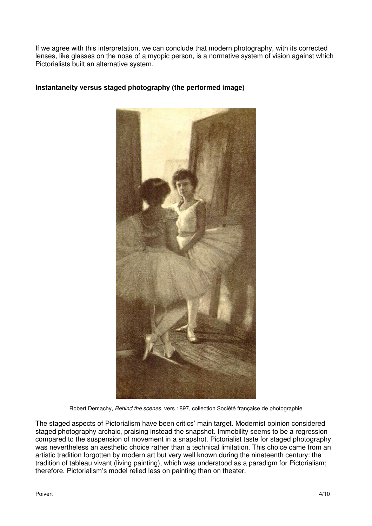If we agree with this interpretation, we can conclude that modern photography, with its corrected lenses, like glasses on the nose of a myopic person, is a normative system of vision against which Pictorialists built an alternative system.



## **Instantaneity versus staged photography (the performed image)**

Robert Demachy, Behind the scenes, vers 1897, collection Société française de photographie

The staged aspects of Pictorialism have been critics' main target. Modernist opinion considered staged photography archaic, praising instead the snapshot. Immobility seems to be a regression compared to the suspension of movement in a snapshot. Pictorialist taste for staged photography was nevertheless an aesthetic choice rather than a technical limitation. This choice came from an artistic tradition forgotten by modern art but very well known during the nineteenth century: the tradition of tableau vivant (living painting), which was understood as a paradigm for Pictorialism; therefore, Pictorialism's model relied less on painting than on theater.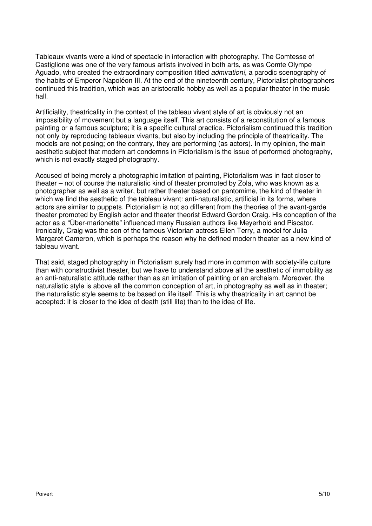Tableaux vivants were a kind of spectacle in interaction with photography. The Comtesse of Castiglione was one of the very famous artists involved in both arts, as was Comte Olympe Aguado, who created the extraordinary composition titled *admiration!*, a parodic scenography of the habits of Emperor Napoléon III. At the end of the nineteenth century, Pictorialist photographers continued this tradition, which was an aristocratic hobby as well as a popular theater in the music hall.

Artificiality, theatricality in the context of the tableau vivant style of art is obviously not an impossibility of movement but a language itself. This art consists of a reconstitution of a famous painting or a famous sculpture; it is a specific cultural practice. Pictorialism continued this tradition not only by reproducing tableaux vivants, but also by including the principle of theatricality. The models are not posing; on the contrary, they are performing (as actors). In my opinion, the main aesthetic subject that modern art condemns in Pictorialism is the issue of performed photography, which is not exactly staged photography.

Accused of being merely a photographic imitation of painting, Pictorialism was in fact closer to theater – not of course the naturalistic kind of theater promoted by Zola, who was known as a photographer as well as a writer, but rather theater based on pantomime, the kind of theater in which we find the aesthetic of the tableau vivant: anti-naturalistic, artificial in its forms, where actors are similar to puppets. Pictorialism is not so different from the theories of the avant-garde theater promoted by English actor and theater theorist Edward Gordon Craig. His conception of the actor as a "Über-marionette" influenced many Russian authors like Meyerhold and Piscator. Ironically, Craig was the son of the famous Victorian actress Ellen Terry, a model for Julia Margaret Cameron, which is perhaps the reason why he defined modern theater as a new kind of tableau vivant.

That said, staged photography in Pictorialism surely had more in common with society-life culture than with constructivist theater, but we have to understand above all the aesthetic of immobility as an anti-naturalistic attitude rather than as an imitation of painting or an archaism. Moreover, the naturalistic style is above all the common conception of art, in photography as well as in theater; the naturalistic style seems to be based on life itself. This is why theatricality in art cannot be accepted: it is closer to the idea of death (still life) than to the idea of life.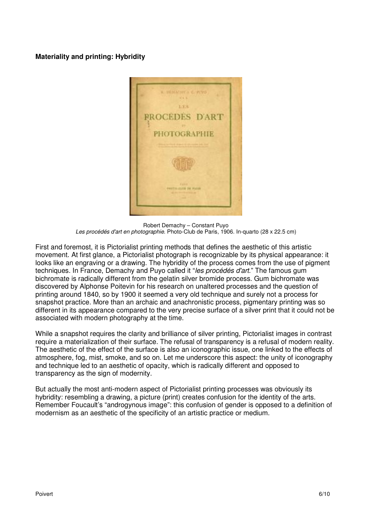## **Materiality and printing: Hybridity**



Robert Demachy – Constant Puyo Les procédés d'art en photographie. Photo-Club de Paris, 1906. In-quarto (28 x 22.5 cm)

First and foremost, it is Pictorialist printing methods that defines the aesthetic of this artistic movement. At first glance, a Pictorialist photograph is recognizable by its physical appearance: it looks like an engraving or a drawing. The hybridity of the process comes from the use of pigment techniques. In France, Demachy and Puyo called it "les procédés d'art." The famous gum bichromate is radically different from the gelatin silver bromide process. Gum bichromate was discovered by Alphonse Poitevin for his research on unaltered processes and the question of printing around 1840, so by 1900 it seemed a very old technique and surely not a process for snapshot practice. More than an archaic and anachronistic process, pigmentary printing was so different in its appearance compared to the very precise surface of a silver print that it could not be associated with modern photography at the time.

While a snapshot requires the clarity and brilliance of silver printing, Pictorialist images in contrast require a materialization of their surface. The refusal of transparency is a refusal of modern reality. The aesthetic of the effect of the surface is also an iconographic issue, one linked to the effects of atmosphere, fog, mist, smoke, and so on. Let me underscore this aspect: the unity of iconography and technique led to an aesthetic of opacity, which is radically different and opposed to transparency as the sign of modernity.

But actually the most anti-modern aspect of Pictorialist printing processes was obviously its hybridity: resembling a drawing, a picture (print) creates confusion for the identity of the arts. Remember Foucault's "androgynous image": this confusion of gender is opposed to a definition of modernism as an aesthetic of the specificity of an artistic practice or medium.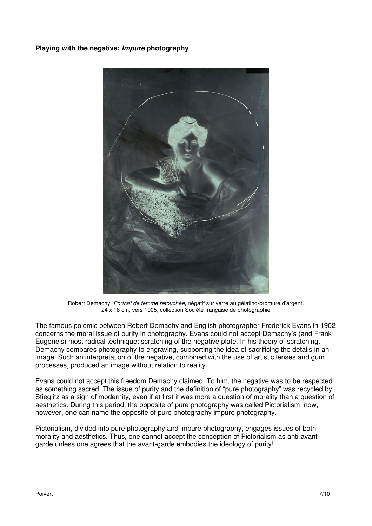# **Playing with the negative: Impure photography**



Robert Demachy, Portrait de femme retouchée, négatif sur verre au gélatino-bromure d'argent, 24 x 18 cm, vers 1905, collection Société française de photographie

The famous polemic between Robert Demachy and English photographer Frederick Evans in 1902 concerns the moral issue of purity in photography. Evans could not accept Demachy's (and Frank Eugene's) most radical technique: scratching of the negative plate. In his theory of scratching, Demachy compares photography to engraving, supporting the idea of sacrificing the details in an image. Such an interpretation of the negative, combined with the use of artistic lenses and gum processes, produced an image without relation to reality.

Evans could not accept this freedom Demachy claimed. To him, the negative was to be respected as something sacred. The issue of purity and the definition of "pure photography" was recycled by Stieglitz as a sign of modernity, even if at first it was more a question of morality than a question of aesthetics. During this period, the opposite of pure photography was called Pictorialism; now, however, one can name the opposite of pure photography impure photography.

Pictorialism, divided into pure photography and impure photography, engages issues of both morality and aesthetics. Thus, one cannot accept the conception of Pictorialism as anti-avantgarde unless one agrees that the avant-garde embodies the ideology of purity!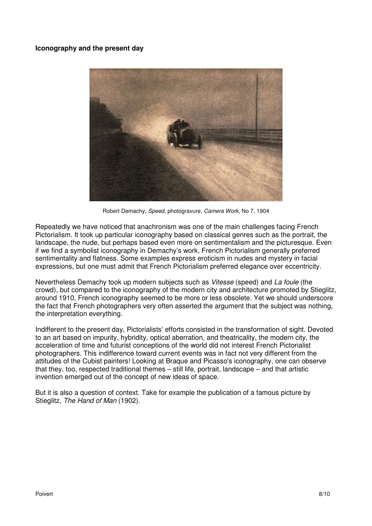### **Iconography and the present day**



Robert Demachy, Speed, photogravure, Camera Work, No 7, 1904

Repeatedly we have noticed that anachronism was one of the main challenges facing French Pictorialism. It took up particular iconography based on classical genres such as the portrait, the landscape, the nude, but perhaps based even more on sentimentalism and the picturesque. Even if we find a symbolist iconography in Demachy's work, French Pictorialism generally preferred sentimentality and flatness. Some examples express eroticism in nudes and mystery in facial expressions, but one must admit that French Pictorialism preferred elegance over eccentricity.

Nevertheless Demachy took up modern subjects such as Vitesse (speed) and La foule (the crowd), but compared to the iconography of the modern city and architecture promoted by Stieglitz, around 1910, French iconography seemed to be more or less obsolete. Yet we should underscore the fact that French photographers very often asserted the argument that the subject was nothing, the interpretation everything.

Indifferent to the present day, Pictorialists' efforts consisted in the transformation of sight. Devoted to an art based on impurity, hybridity, optical aberration, and theatricality, the modern city, the acceleration of time and futurist conceptions of the world did not interest French Pictorialist photographers. This indifference toward current events was in fact not very different from the attitudes of the Cubist painters! Looking at Braque and Picasso's iconography, one can observe that they, too, respected traditional themes – still life, portrait, landscape – and that artistic invention emerged out of the concept of new ideas of space.

But it is also a question of context. Take for example the publication of a famous picture by Stieglitz, The Hand of Man (1902).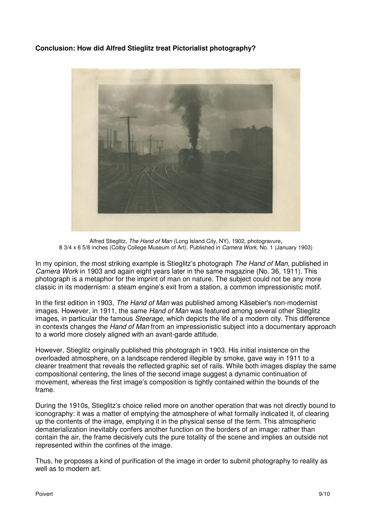# **Conclusion: How did Alfred Stieglitz treat Pictorialist photography?**



Alfred Stieglitz, The Hand of Man (Long Island City, NY), 1902, photogravure, 8 3/4 x 6 5/8 inches (Colby College Museum of Art). Published in Camera Work, No. 1 (January 1903)

In my opinion, the most striking example is Stieglitz's photograph The Hand of Man, published in Camera Work in 1903 and again eight years later in the same magazine (No. 36, 1911). This photograph is a metaphor for the imprint of man on nature. The subject could not be any more classic in its modernism: a steam engine's exit from a station, a common impressionistic motif.

In the first edition in 1903, The Hand of Man was published among Käsebier's non-modernist images. However, in 1911, the same Hand of Man was featured among several other Stieglitz images, in particular the famous Steerage, which depicts the life of a modern city. This difference in contexts changes the Hand of Man from an impressionistic subject into a documentary approach to a world more closely aligned with an avant-garde attitude.

However, Stieglitz originally published this photograph in 1903. His initial insistence on the overloaded atmosphere, on a landscape rendered illegible by smoke, gave way in 1911 to a clearer treatment that reveals the reflected graphic set of rails. While both images display the same compositional centering, the lines of the second image suggest a dynamic continuation of movement, whereas the first image's composition is tightly contained within the bounds of the frame.

During the 1910s, Stieglitz's choice relied more on another operation that was not directly bound to iconography: it was a matter of emptying the atmosphere of what formally indicated it, of clearing up the contents of the image, emptying it in the physical sense of the term. This atmospheric dematerialization inevitably confers another function on the borders of an image: rather than contain the air, the frame decisively cuts the pure totality of the scene and implies an outside not represented within the confines of the image.

Thus, he proposes a kind of purification of the image in order to submit photography to reality as well as to modern art.